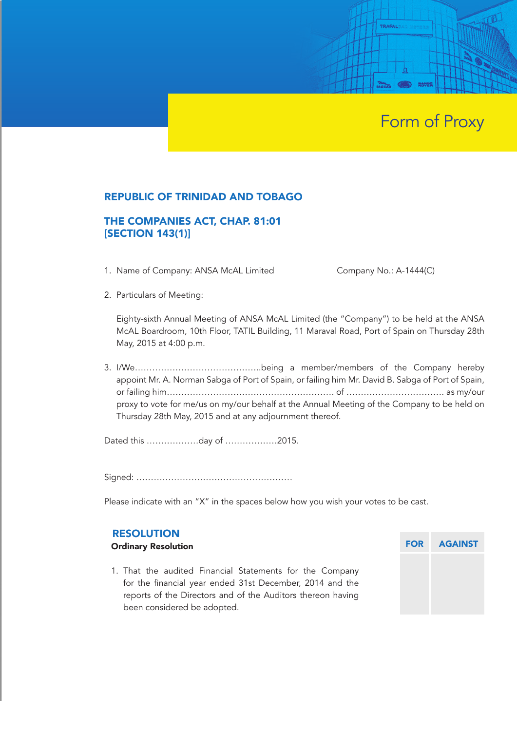# Form of Proxy

### REPUBLIC OF TRINIDAD AND TOBAGO

# THE COMPANIES ACT, CHAP. 81:01 [SECTION 143(1)]

1. Name of Company: ANSA McAL Limited Company No.: A-1444(C)

TRAFAL

2. Particulars of Meeting:

Eighty-sixth Annual Meeting of ANSA McAL Limited (the "Company") to be held at the ANSA McAL Boardroom, 10th Floor, TATIL Building, 11 Maraval Road, Port of Spain on Thursday 28th May, 2015 at 4:00 p.m.

3. I/We……………………………………..being a member/members of the Company hereby appoint Mr. A. Norman Sabga of Port of Spain, or failing him Mr. David B. Sabga of Port of Spain, or failing him…………………………………………………. of ……………………………. as my/our proxy to vote for me/us on my/our behalf at the Annual Meeting of the Company to be held on Thursday 28th May, 2015 and at any adjournment thereof.

Dated this ………………day of ………………2015.

Signed: ………………………………………………

Please indicate with an "X" in the spaces below how you wish your votes to be cast.

#### RESOLUTION

#### Ordinary Resolution

1. That the audited Financial Statements for the Company for the financial year ended 31st December, 2014 and the reports of the Directors and of the Auditors thereon having been considered be adopted.